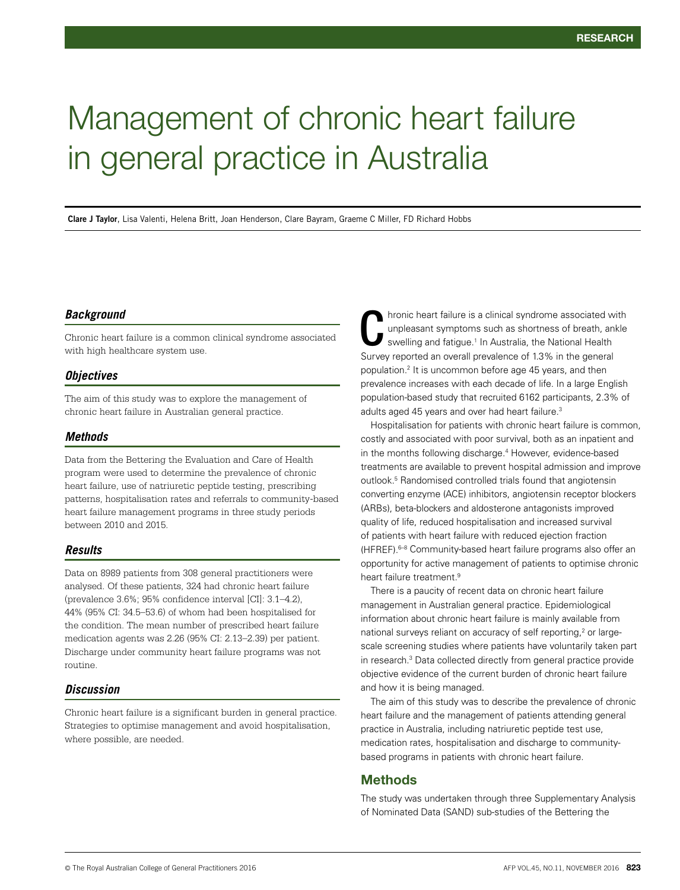# Management of chronic heart failure in general practice in Australia

**Clare J Taylor**, Lisa Valenti, Helena Britt, Joan Henderson, Clare Bayram, Graeme C Miller, FD Richard Hobbs

#### *Background*

Chronic heart failure is a common clinical syndrome associated with high healthcare system use.

#### *Objectives*

The aim of this study was to explore the management of chronic heart failure in Australian general practice.

#### *Methods*

Data from the Bettering the Evaluation and Care of Health program were used to determine the prevalence of chronic heart failure, use of natriuretic peptide testing, prescribing patterns, hospitalisation rates and referrals to community-based heart failure management programs in three study periods between 2010 and 2015.

### *Results*

Data on 8989 patients from 308 general practitioners were analysed. Of these patients, 324 had chronic heart failure (prevalence 3.6%; 95% confidence interval [CI]: 3.1–4.2), 44% (95% CI: 34.5–53.6) of whom had been hospitalised for the condition. The mean number of prescribed heart failure medication agents was 2.26 (95% CI: 2.13–2.39) per patient. Discharge under community heart failure programs was not routine.

# *Discussion*

Chronic heart failure is a significant burden in general practice. Strategies to optimise management and avoid hospitalisation, where possible, are needed.

hronic heart failure is a clinical syndrome associated with unpleasant symptoms such as shortness of breath, ankle swelling and fatigue.<sup>1</sup> In Australia, the National Health Intronic heart failure is a clinical syndrome associated w<br>unpleasant symptoms such as shortness of breath, an<br>swelling and fatigue.<sup>1</sup> In Australia, the National Health<br>Survey reported an overall prevalence of 1.3% in the population.2 It is uncommon before age 45 years, and then prevalence increases with each decade of life. In a large English population-based study that recruited 6162 participants, 2.3% of adults aged 45 years and over had heart failure.<sup>3</sup>

Hospitalisation for patients with chronic heart failure is common, costly and associated with poor survival, both as an inpatient and in the months following discharge.<sup>4</sup> However, evidence-based treatments are available to prevent hospital admission and improve outlook.<sup>5</sup> Randomised controlled trials found that angiotensin converting enzyme (ACE) inhibitors, angiotensin receptor blockers (ARBs), beta-blockers and aldosterone antagonists improved quality of life, reduced hospitalisation and increased survival of patients with heart failure with reduced ejection fraction (HFREF).6–8 Community-based heart failure programs also offer an opportunity for active management of patients to optimise chronic heart failure treatment.<sup>9</sup>

There is a paucity of recent data on chronic heart failure management in Australian general practice. Epidemiological information about chronic heart failure is mainly available from national surveys reliant on accuracy of self reporting,<sup>2</sup> or largescale screening studies where patients have voluntarily taken part in research.3 Data collected directly from general practice provide objective evidence of the current burden of chronic heart failure and how it is being managed.

The aim of this study was to describe the prevalence of chronic heart failure and the management of patients attending general practice in Australia, including natriuretic peptide test use, medication rates, hospitalisation and discharge to communitybased programs in patients with chronic heart failure.

### **Methods**

The study was undertaken through three Supplementary Analysis of Nominated Data (SAND) sub-studies of the Bettering the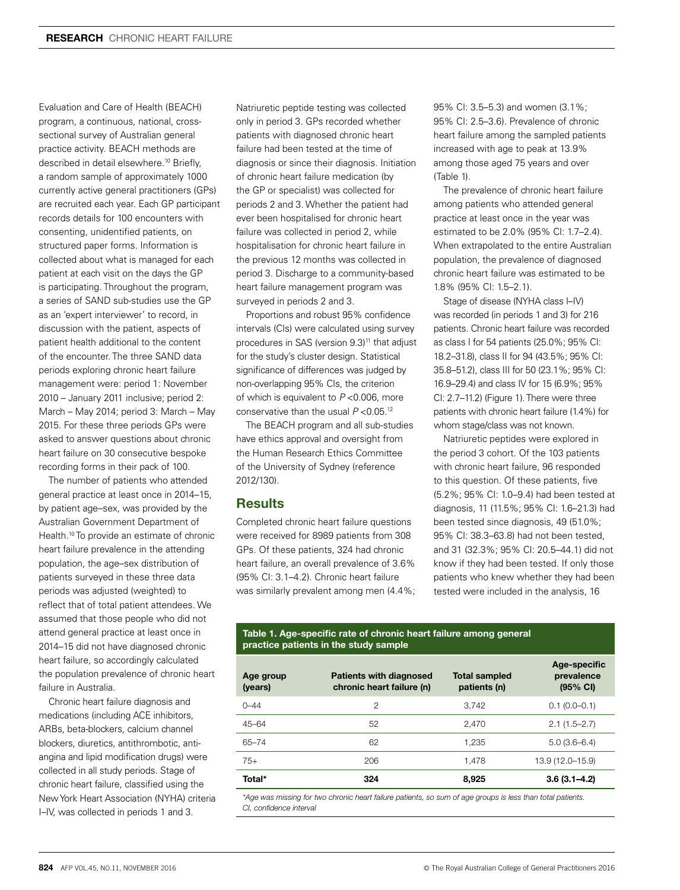Evaluation and Care of Health (BEACH) program, a continuous, national, crosssectional survey of Australian general practice activity. BEACH methods are described in detail elsewhere.<sup>10</sup> Briefly, a random sample of approximately 1000 currently active general practitioners (GPs) are recruited each year. Each GP participant records details for 100 encounters with consenting, unidentified patients, on structured paper forms. Information is collected about what is managed for each patient at each visit on the days the GP is participating. Throughout the program, a series of SAND sub-studies use the GP as an 'expert interviewer' to record, in discussion with the patient, aspects of patient health additional to the content of the encounter. The three SAND data periods exploring chronic heart failure management were: period 1: November 2010 – January 2011 inclusive; period 2: March – May 2014; period 3: March – May 2015. For these three periods GPs were asked to answer questions about chronic heart failure on 30 consecutive bespoke recording forms in their pack of 100.

The number of patients who attended general practice at least once in 2014–15, by patient age–sex, was provided by the Australian Government Department of Health.10 To provide an estimate of chronic heart failure prevalence in the attending population, the age–sex distribution of patients surveyed in these three data periods was adjusted (weighted) to reflect that of total patient attendees. We assumed that those people who did not attend general practice at least once in 2014–15 did not have diagnosed chronic heart failure, so accordingly calculated the population prevalence of chronic heart failure in Australia.

Chronic heart failure diagnosis and medications (including ACE inhibitors, ARBs, beta-blockers, calcium channel blockers, diuretics, antithrombotic, antiangina and lipid modification drugs) were collected in all study periods. Stage of chronic heart failure, classified using the New York Heart Association (NYHA) criteria I–IV, was collected in periods 1 and 3.

Natriuretic peptide testing was collected only in period 3. GPs recorded whether patients with diagnosed chronic heart failure had been tested at the time of diagnosis or since their diagnosis. Initiation of chronic heart failure medication (by the GP or specialist) was collected for periods 2 and 3. Whether the patient had ever been hospitalised for chronic heart failure was collected in period 2, while hospitalisation for chronic heart failure in the previous 12 months was collected in period 3. Discharge to a community-based heart failure management program was surveyed in periods 2 and 3.

Proportions and robust 95% confidence intervals (CIs) were calculated using survey procedures in SAS (version 9.3)<sup>11</sup> that adjust for the study's cluster design. Statistical significance of differences was judged by non-overlapping 95% CIs, the criterion of which is equivalent to *P* <0.006, more conservative than the usual *P* <0.05.12

The BEACH program and all sub-studies have ethics approval and oversight from the Human Research Ethics Committee of the University of Sydney (reference 2012/130).

#### **Results**

Completed chronic heart failure questions were received for 8989 patients from 308 GPs. Of these patients, 324 had chronic heart failure, an overall prevalence of 3.6% (95% CI: 3.1–4.2). Chronic heart failure was similarly prevalent among men (4.4%; 95% CI: 3.5–5.3) and women (3.1%; 95% CI: 2.5–3.6). Prevalence of chronic heart failure among the sampled patients increased with age to peak at 13.9% among those aged 75 years and over (Table 1).

The prevalence of chronic heart failure among patients who attended general practice at least once in the year was estimated to be 2.0% (95% CI: 1.7–2.4). When extrapolated to the entire Australian population, the prevalence of diagnosed chronic heart failure was estimated to be 1.8% (95% CI: 1.5–2.1).

Stage of disease (NYHA class I–IV) was recorded (in periods 1 and 3) for 216 patients. Chronic heart failure was recorded as class I for 54 patients (25.0%; 95% CI: 18.2–31.8), class II for 94 (43.5%; 95% CI: 35.8–51.2), class III for 50 (23.1%; 95% CI: 16.9–29.4) and class IV for 15 (6.9%; 95% CI: 2.7–11.2) (Figure 1). There were three patients with chronic heart failure (1.4%) for whom stage/class was not known.

Natriuretic peptides were explored in the period 3 cohort. Of the 103 patients with chronic heart failure, 96 responded to this question. Of these patients, five (5.2%; 95% CI: 1.0–9.4) had been tested at diagnosis, 11 (11.5%; 95% CI: 1.6–21.3) had been tested since diagnosis, 49 (51.0%; 95% CI: 38.3–63.8) had not been tested, and 31 (32.3%; 95% CI: 20.5–44.1) did not know if they had been tested. If only those patients who knew whether they had been tested were included in the analysis, 16

#### **Table 1. Age-specific rate of chronic heart failure among general practice patients in the study sample**

| Age group<br>(years) | <b>Patients with diagnosed</b><br>chronic heart failure (n) | <b>Total sampled</b><br>patients (n) | Age-specific<br>prevalence<br>$(95% \text{ Cl})$ |
|----------------------|-------------------------------------------------------------|--------------------------------------|--------------------------------------------------|
| $0 - 44$             | 2                                                           | 3.742                                | $0.1(0.0-0.1)$                                   |
| $45 - 64$            | 52                                                          | 2,470                                | $2.1(1.5 - 2.7)$                                 |
| 65-74                | 62                                                          | 1.235                                | $5.0(3.6-6.4)$                                   |
| $75+$                | 206                                                         | 1.478                                | 13.9 (12.0-15.9)                                 |
| Total*               | 324                                                         | 8,925                                | $3.6(3.1 - 4.2)$                                 |

*\*Age was missing for two chronic heart failure patients, so sum of age groups is less than total patients. CI, confidence interval*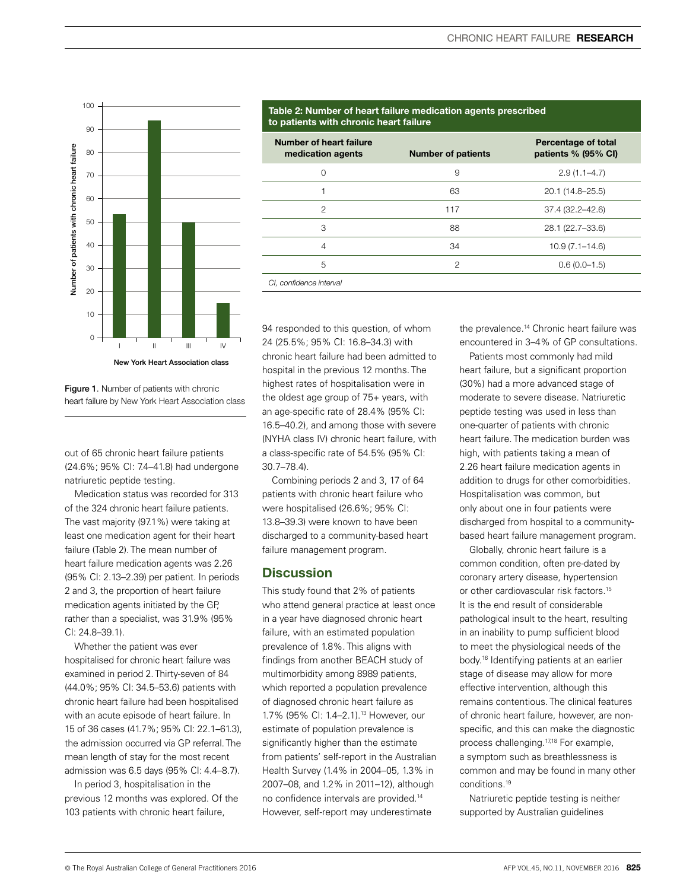

Figure 1. Number of patients with chronic heart failure by New York Heart Association class

out of 65 chronic heart failure patients (24.6%; 95% CI: 7.4–41.8) had undergone natriuretic peptide testing.

Medication status was recorded for 313 of the 324 chronic heart failure patients. The vast majority (97.1%) were taking at least one medication agent for their heart failure (Table 2). The mean number of heart failure medication agents was 2.26 (95% CI: 2.13–2.39) per patient. In periods 2 and 3, the proportion of heart failure medication agents initiated by the GP, rather than a specialist, was 31.9% (95% CI: 24.8–39.1).

Whether the patient was ever hospitalised for chronic heart failure was examined in period 2. Thirty-seven of 84 (44.0%; 95% CI: 34.5–53.6) patients with chronic heart failure had been hospitalised with an acute episode of heart failure. In 15 of 36 cases (41.7%; 95% CI: 22.1–61.3), the admission occurred via GP referral. The mean length of stay for the most recent admission was 6.5 days (95% CI: 4.4–8.7).

In period 3, hospitalisation in the previous 12 months was explored. Of the 103 patients with chronic heart failure,

94 responded to this question, of whom 24 (25.5%; 95% CI: 16.8–34.3) with chronic heart failure had been admitted to hospital in the previous 12 months. The highest rates of hospitalisation were in the oldest age group of 75+ years, with an age-specific rate of 28.4% (95% CI: 16.5–40.2), and among those with severe (NYHA class IV) chronic heart failure, with a class-specific rate of 54.5% (95% CI: 30.7–78.4).

Combining periods 2 and 3, 17 of 64 patients with chronic heart failure who were hospitalised (26.6%; 95% CI: 13.8–39.3) were known to have been discharged to a community-based heart failure management program.

## **Discussion**

This study found that 2% of patients who attend general practice at least once in a year have diagnosed chronic heart failure, with an estimated population prevalence of 1.8%. This aligns with findings from another BEACH study of multimorbidity among 8989 patients, which reported a population prevalence of diagnosed chronic heart failure as 1.7% (95% CI: 1.4–2.1).<sup>13</sup> However, our estimate of population prevalence is significantly higher than the estimate from patients' self-report in the Australian Health Survey (1.4% in 2004–05, 1.3% in 2007–08, and 1.2% in 2011–12), although no confidence intervals are provided.14 However, self-report may underestimate

#### the prevalence.<sup>14</sup> Chronic heart failure was encountered in 3–4% of GP consultations.

Patients most commonly had mild heart failure, but a significant proportion (30%) had a more advanced stage of moderate to severe disease. Natriuretic peptide testing was used in less than one-quarter of patients with chronic heart failure. The medication burden was high, with patients taking a mean of 2.26 heart failure medication agents in addition to drugs for other comorbidities. Hospitalisation was common, but only about one in four patients were discharged from hospital to a communitybased heart failure management program.

Globally, chronic heart failure is a common condition, often pre-dated by coronary artery disease, hypertension or other cardiovascular risk factors.15 It is the end result of considerable pathological insult to the heart, resulting in an inability to pump sufficient blood to meet the physiological needs of the body.16 Identifying patients at an earlier stage of disease may allow for more effective intervention, although this remains contentious. The clinical features of chronic heart failure, however, are nonspecific, and this can make the diagnostic process challenging.17,18 For example, a symptom such as breathlessness is common and may be found in many other conditions.19

Natriuretic peptide testing is neither supported by Australian guidelines

# **Table 2: Number of heart failure medication agents prescribed to patients with chronic heart failure**

| Number of heart failure<br>medication agents | <b>Number of patients</b> | Percentage of total<br>patients % (95% CI) |
|----------------------------------------------|---------------------------|--------------------------------------------|
| $\Omega$                                     | 9                         | $2.9(1.1 - 4.7)$                           |
|                                              | 63                        | 20.1 (14.8–25.5)                           |
| $\mathfrak{p}$                               | 117                       | 37.4 (32.2-42.6)                           |
| 3                                            | 88                        | 28.1 (22.7-33.6)                           |
| $\overline{4}$                               | 34                        | $10.9(7.1 - 14.6)$                         |
| 5                                            | $\mathfrak{p}$            | $0.6(0.0-1.5)$                             |
| CI, confidence interval                      |                           |                                            |

© The Royal Australian College of General Practitioners 2016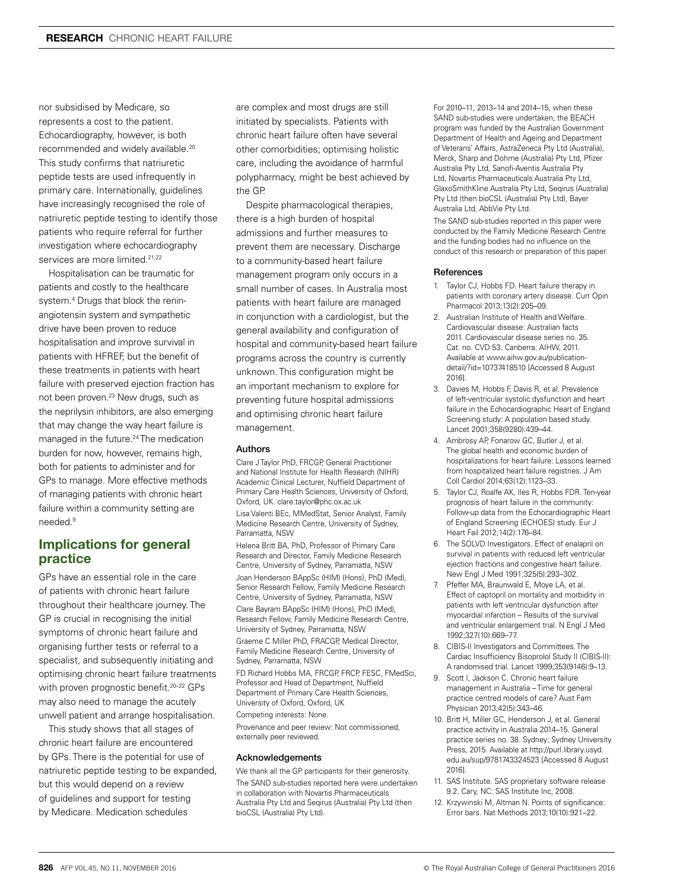nor subsidised by Medicare, so represents a cost to the patient. Echocardiography, however, is both recommended and widely available.20 This study confirms that natriuretic peptide tests are used infrequently in primary care. Internationally, guidelines have increasingly recognised the role of natriuretic peptide testing to identify those patients who require referral for further investigation where echocardiography services are more limited.<sup>21,22</sup>

Hospitalisation can be traumatic for patients and costly to the healthcare system.4 Drugs that block the reninangiotensin system and sympathetic drive have been proven to reduce hospitalisation and improve survival in patients with HFREF, but the benefit of these treatments in patients with heart failure with preserved ejection fraction has not been proven.<sup>23</sup> New drugs, such as the neprilysin inhibitors, are also emerging that may change the way heart failure is managed in the future.<sup>24</sup> The medication burden for now, however, remains high, both for patients to administer and for GPs to manage. More effective methods of managing patients with chronic heart failure within a community setting are needed.9

# **Implications for general practice**

GPs have an essential role in the care of patients with chronic heart failure throughout their healthcare journey. The GP is crucial in recognising the initial symptoms of chronic heart failure and organising further tests or referral to a specialist, and subsequently initiating and optimising chronic heart failure treatments with proven prognostic benefit.20–22 GPs may also need to manage the acutely unwell patient and arrange hospitalisation.

This study shows that all stages of chronic heart failure are encountered by GPs. There is the potential for use of natriuretic peptide testing to be expanded, but this would depend on a review of guidelines and support for testing by Medicare. Medication schedules

are complex and most drugs are still initiated by specialists. Patients with chronic heart failure often have several other comorbidities; optimising holistic care, including the avoidance of harmful polypharmacy, might be best achieved by the GP.

Despite pharmacological therapies, there is a high burden of hospital admissions and further measures to prevent them are necessary. Discharge to a community-based heart failure management program only occurs in a small number of cases. In Australia most patients with heart failure are managed in conjunction with a cardiologist, but the general availability and configuration of hospital and community-based heart failure programs across the country is currently unknown. This configuration might be an important mechanism to explore for preventing future hospital admissions and optimising chronic heart failure management.

#### Authors

Clare J Taylor PhD, FRCGP, General Practitioner and National Institute for Health Research (NIHR) Academic Clinical Lecturer, Nuffield Department of Primary Care Health Sciences, University of Oxford, Oxford, UK. clare.taylor@phc.ox.ac.uk

Lisa Valenti BEc, MMedStat, Senior Analyst, Family Medicine Research Centre, University of Sydney, Parramatta, NSW

Helena Britt BA, PhD, Professor of Primary Care Research and Director, Family Medicine Research Centre, University of Sydney, Parramatta, NSW Joan Henderson BAppSc (HIM) (Hons), PhD (Med), Senior Research Fellow, Family Medicine Research Centre, University of Sydney, Parramatta, NSW Clare Bayram BAppSc (HIM) (Hons), PhD (Med), Research Fellow, Family Medicine Research Centre, University of Sydney, Parramatta, NSW

Graeme C Miller PhD, FRACGP, Medical Director, Family Medicine Research Centre, University of Sydney, Parramatta, NSW

FD Richard Hobbs MA, FRCGP, FRCP, FESC, FMedSci, Professor and Head of Department, Nuffield Department of Primary Care Health Sciences, University of Oxford, Oxford, UK

Competing interests: None.

Provenance and peer review: Not commissioned, externally peer reviewed.

#### Acknowledgements

We thank all the GP participants for their generosity.

The SAND sub-studies reported here were undertaken in collaboration with Novartis Pharmaceuticals Australia Pty Ltd and Seqirus (Australia) Pty Ltd (then bioCSL (Australia) Pty Ltd).

For 2010–11, 2013–14 and 2014–15, when these SAND sub-studies were undertaken, the BEACH program was funded by the Australian Government Department of Health and Ageing and Department of Veterans' Affairs, AstraZeneca Pty Ltd (Australia), Merck, Sharp and Dohme (Australia) Pty Ltd, Pfizer Australia Pty Ltd, Sanofi-Aventis Australia Pty Ltd, Novartis Pharmaceuticals Australia Pty Ltd, GlaxoSmithKline Australia Pty Ltd, Seqirus (Australia) Pty Ltd (then bioCSL (Australia) Pty Ltd), Bayer Australia Ltd, AbbVie Pty Ltd.

The SAND sub-studies reported in this paper were conducted by the Family Medicine Research Centre and the funding bodies had no influence on the conduct of this research or preparation of this paper.

#### References

- 1. Taylor CJ, Hobbs FD. Heart failure therapy in patients with coronary artery disease. Curr Opin Pharmacol 2013;13(2):205–09.
- 2. Australian Institute of Health and Welfare. Cardiovascular disease: Australian facts 2011. Cardiovascular disease series no. 35. Cat. no. CVD 53. Canberra: AIHW, 2011. Available at www.aihw.gov.au/publicationdetail/?id=10737418510 [Accessed 8 August 2016].
- 3. Davies M, Hobbs F, Davis R, et al. Prevalence of left-ventricular systolic dysfunction and heart failure in the Echocardiographic Heart of England Screening study: A population based study. Lancet 2001;358(9280):439–44.
- 4. Ambrosy AP, Fonarow GC, Butler J, et al. The global health and economic burden of hospitalizations for heart failure: Lessons learned from hospitalized heart failure registries. J Am Coll Cardiol 2014;63(12):1123–33.
- 5. Taylor CJ, Roalfe AK, Iles R, Hobbs FDR. Ten-year prognosis of heart failure in the community: Follow-up data from the Echocardiographic Heart of England Screening (ECHOES) study. Eur J Heart Fail 2012;14(2):176–84.
- 6. The SOLVD Investigators. Effect of enalapril on survival in patients with reduced left ventricular ejection fractions and congestive heart failure. New Engl J Med 1991;325(5):293–302.
- 7. Pfeffer MA, Braunwald E, Moye LA, et al. Effect of captopril on mortality and morbidity in patients with left ventricular dysfunction after myocardial infarction – Results of the survival and ventricular enlargement trial. N Engl J Med 1992;327(10):669–77.
- 8. CIBIS-II Investigators and Committees. The Cardiac Insufficiency Bisoprolol Study II (CIBIS-II): A randomised trial. Lancet 1999;353(9146):9–13.
- 9. Scott I, Jackson C. Chronic heart failure management in Australia – Time for general practice centred models of care? Aust Fam Physician 2013;42(5):343–46.
- 10. Britt H, Miller GC, Henderson J, et al. General practice activity in Australia 2014–15. General practice series no. 38. Sydney: Sydney University Press, 2015. Available at http://purl.library.usyd. edu.au/sup/9781743324523 [Accessed 8 August 2016].
- 11. SAS Institute. SAS proprietary software release 9.2. Cary, NC: SAS Institute Inc, 2008.
- 12. Krzywinski M, Altman N. Points of significance: Error bars. Nat Methods 2013;10(10):921–22.